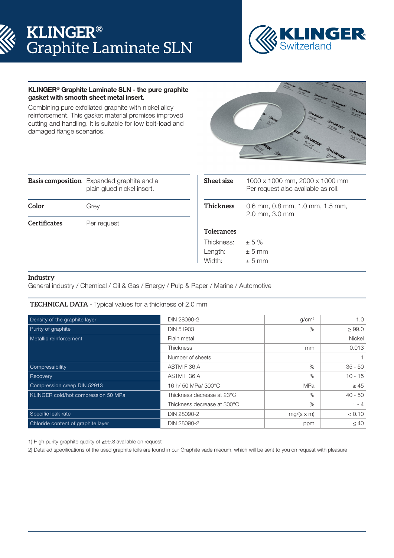# **KLINGER®** Graphite Laminate SLN



## KLINGER® Graphite Laminate SLN - the pure graphite gasket with smooth sheet metal insert.

Combining pure exfoliated graphite with nickel alloy reinforcement. This gasket material promises improved cutting and handling. It is suitable for low bolt-load and damaged flange scenarios.



|                     | <b>Basis composition</b> Expanded graphite and a<br>plain glued nickel insert. |  |  |
|---------------------|--------------------------------------------------------------------------------|--|--|
| Color               | Grey                                                                           |  |  |
| <b>Certificates</b> | Per request                                                                    |  |  |

| <b>Sheet size</b> | 1000 x 1000 mm, 2000 x 1000 mm<br>Per request also available as roll. |  |  |  |
|-------------------|-----------------------------------------------------------------------|--|--|--|
| <b>Thickness</b>  | $0.6$ mm, $0.8$ mm, $1.0$ mm, $1.5$ mm,<br>2.0 mm, 3.0 mm             |  |  |  |
| <b>Tolerances</b> |                                                                       |  |  |  |
| Thickness:        | ± 5%                                                                  |  |  |  |
| Length:           | $± 5$ mm                                                              |  |  |  |
| Width:            | + 5 mm                                                                |  |  |  |

## **Industry**

General industry / Chemical / Oil & Gas / Energy / Pulp & Paper / Marine / Automotive

# **TECHNICAL DATA** - Typical values for a thickness of 2.0 mm

| Density of the graphite layer       | DIN 28090-2                 | g/cm <sup>3</sup> | 1.0           |
|-------------------------------------|-----------------------------|-------------------|---------------|
| Purity of graphite                  | <b>DIN 51903</b>            | $\%$              | $\geq 99.0$   |
| Metallic reinforcement              | Plain metal                 |                   | <b>Nickel</b> |
|                                     | <b>Thickness</b>            | <sub>mm</sub>     | 0.013         |
|                                     | Number of sheets            |                   |               |
| Compressibility                     | ASTM F 36 A                 | $\%$              | $35 - 50$     |
| Recovery                            | ASTM F 36 A                 | $\%$              | $10 - 15$     |
| Compression creep DIN 52913         | 16 h/ 50 MPa/ 300°C         | <b>MPa</b>        | $\geq 45$     |
| KLINGER cold/hot compression 50 MPa | Thickness decrease at 23°C  | $\%$              | $40 - 50$     |
|                                     | Thickness decrease at 300°C | $\%$              | $1 - 4$       |
| Specific leak rate                  | DIN 28090-2                 | $mg/(s \times m)$ | < 0.10        |
| Chloride content of graphite layer  | DIN 28090-2                 | ppm               | $\leq 40$     |

1) High purity graphite quality of ≥99.8 available on request

2) Detailed specifications of the used graphite foils are found in our Graphite vade mecum, which will be sent to you on request with pleasure